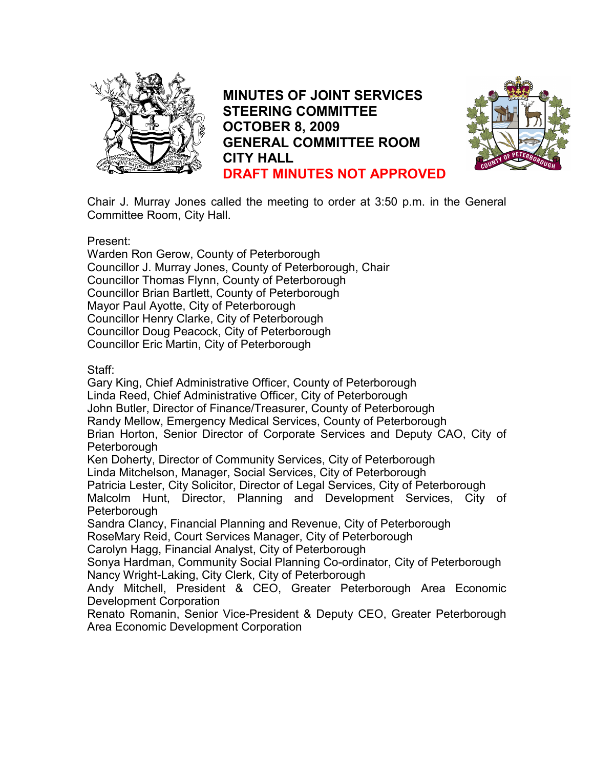

MINUTES OF JOINT SERVICES STEERING COMMITTEE OCTOBER 8, 2009 GENERAL COMMITTEE ROOM CITY HALL DRAFT MINUTES NOT APPROVED



Chair J. Murray Jones called the meeting to order at 3:50 p.m. in the General Committee Room, City Hall.

### Present:

Warden Ron Gerow, County of Peterborough Councillor J. Murray Jones, County of Peterborough, Chair Councillor Thomas Flynn, County of Peterborough Councillor Brian Bartlett, County of Peterborough Mayor Paul Ayotte, City of Peterborough Councillor Henry Clarke, City of Peterborough Councillor Doug Peacock, City of Peterborough Councillor Eric Martin, City of Peterborough

## Staff:

Gary King, Chief Administrative Officer, County of Peterborough Linda Reed, Chief Administrative Officer, City of Peterborough John Butler, Director of Finance/Treasurer, County of Peterborough Randy Mellow, Emergency Medical Services, County of Peterborough Brian Horton, Senior Director of Corporate Services and Deputy CAO, City of Peterborough Ken Doherty, Director of Community Services, City of Peterborough Linda Mitchelson, Manager, Social Services, City of Peterborough Patricia Lester, City Solicitor, Director of Legal Services, City of Peterborough Malcolm Hunt, Director, Planning and Development Services, City of Peterborough Sandra Clancy, Financial Planning and Revenue, City of Peterborough RoseMary Reid, Court Services Manager, City of Peterborough Carolyn Hagg, Financial Analyst, City of Peterborough Sonya Hardman, Community Social Planning Co-ordinator, City of Peterborough Nancy Wright-Laking, City Clerk, City of Peterborough Andy Mitchell, President & CEO, Greater Peterborough Area Economic Development Corporation Renato Romanin, Senior Vice-President & Deputy CEO, Greater Peterborough Area Economic Development Corporation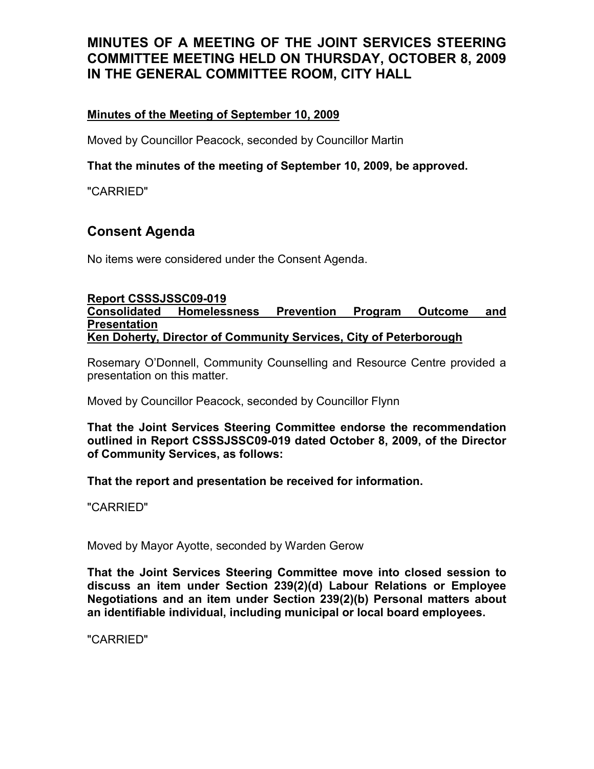## Minutes of the Meeting of September 10, 2009

Moved by Councillor Peacock, seconded by Councillor Martin

## That the minutes of the meeting of September 10, 2009, be approved.

"CARRIED"

## Consent Agenda

No items were considered under the Consent Agenda.

#### Report CSSSJSSC09-019

Consolidated Homelessness Prevention Program Outcome and Presentation Ken Doherty, Director of Community Services, City of Peterborough

Rosemary O'Donnell, Community Counselling and Resource Centre provided a presentation on this matter.

Moved by Councillor Peacock, seconded by Councillor Flynn

That the Joint Services Steering Committee endorse the recommendation outlined in Report CSSSJSSC09-019 dated October 8, 2009, of the Director of Community Services, as follows:

That the report and presentation be received for information.

"CARRIED"

Moved by Mayor Ayotte, seconded by Warden Gerow

That the Joint Services Steering Committee move into closed session to discuss an item under Section 239(2)(d) Labour Relations or Employee Negotiations and an item under Section 239(2)(b) Personal matters about an identifiable individual, including municipal or local board employees.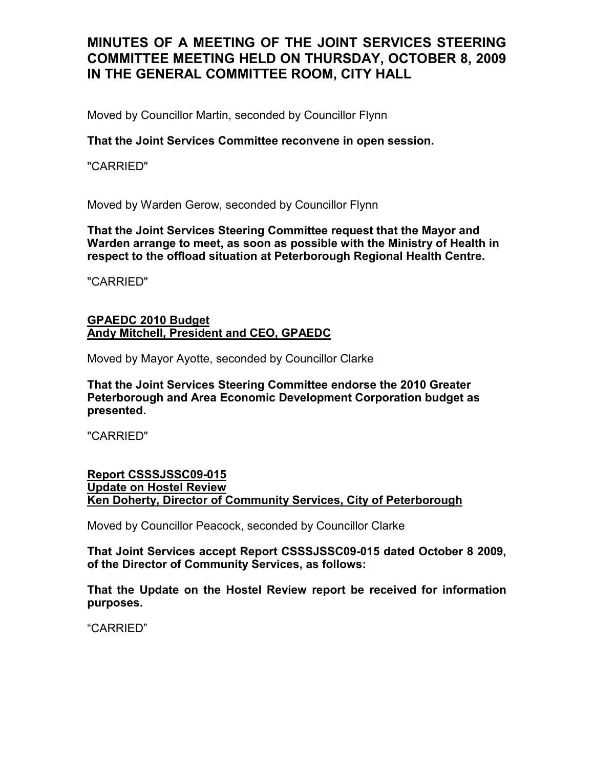Moved by Councillor Martin, seconded by Councillor Flynn

## That the Joint Services Committee reconvene in open session.

"CARRIED"

Moved by Warden Gerow, seconded by Councillor Flynn

That the Joint Services Steering Committee request that the Mayor and Warden arrange to meet, as soon as possible with the Ministry of Health in respect to the offload situation at Peterborough Regional Health Centre.

"CARRIED"

#### GPAEDC 2010 Budget Andy Mitchell, President and CEO, GPAEDC

Moved by Mayor Ayotte, seconded by Councillor Clarke

That the Joint Services Steering Committee endorse the 2010 Greater Peterborough and Area Economic Development Corporation budget as presented.

"CARRIED"

#### Report CSSSJSSC09-015 Update on Hostel Review Ken Doherty, Director of Community Services, City of Peterborough

Moved by Councillor Peacock, seconded by Councillor Clarke

That Joint Services accept Report CSSSJSSC09-015 dated October 8 2009, of the Director of Community Services, as follows:

That the Update on the Hostel Review report be received for information purposes.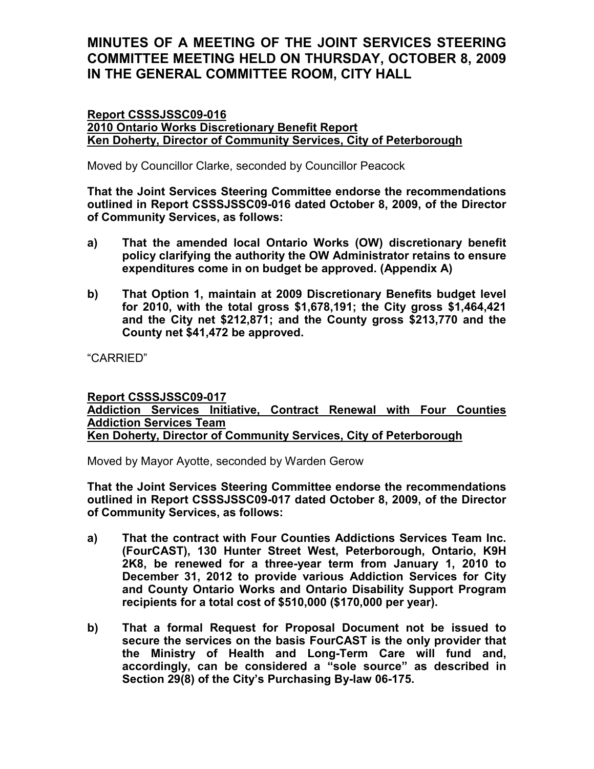#### Report CSSSJSSC09-016 2010 Ontario Works Discretionary Benefit Report Ken Doherty, Director of Community Services, City of Peterborough

Moved by Councillor Clarke, seconded by Councillor Peacock

That the Joint Services Steering Committee endorse the recommendations outlined in Report CSSSJSSC09-016 dated October 8, 2009, of the Director of Community Services, as follows:

- a) That the amended local Ontario Works (OW) discretionary benefit policy clarifying the authority the OW Administrator retains to ensure expenditures come in on budget be approved. (Appendix A)
- b) That Option 1, maintain at 2009 Discretionary Benefits budget level for 2010, with the total gross \$1,678,191; the City gross \$1,464,421 and the City net \$212,871; and the County gross \$213,770 and the County net \$41,472 be approved.

"CARRIED"

### Report CSSSJSSC09-017 Addiction Services Initiative, Contract Renewal with Four Counties Addiction Services Team Ken Doherty, Director of Community Services, City of Peterborough

Moved by Mayor Ayotte, seconded by Warden Gerow

That the Joint Services Steering Committee endorse the recommendations outlined in Report CSSSJSSC09-017 dated October 8, 2009, of the Director of Community Services, as follows:

- a) That the contract with Four Counties Addictions Services Team Inc. (FourCAST), 130 Hunter Street West, Peterborough, Ontario, K9H 2K8, be renewed for a three-year term from January 1, 2010 to December 31, 2012 to provide various Addiction Services for City and County Ontario Works and Ontario Disability Support Program recipients for a total cost of \$510,000 (\$170,000 per year).
- b) That a formal Request for Proposal Document not be issued to secure the services on the basis FourCAST is the only provider that the Ministry of Health and Long-Term Care will fund and, accordingly, can be considered a "sole source" as described in Section 29(8) of the City's Purchasing By-law 06-175.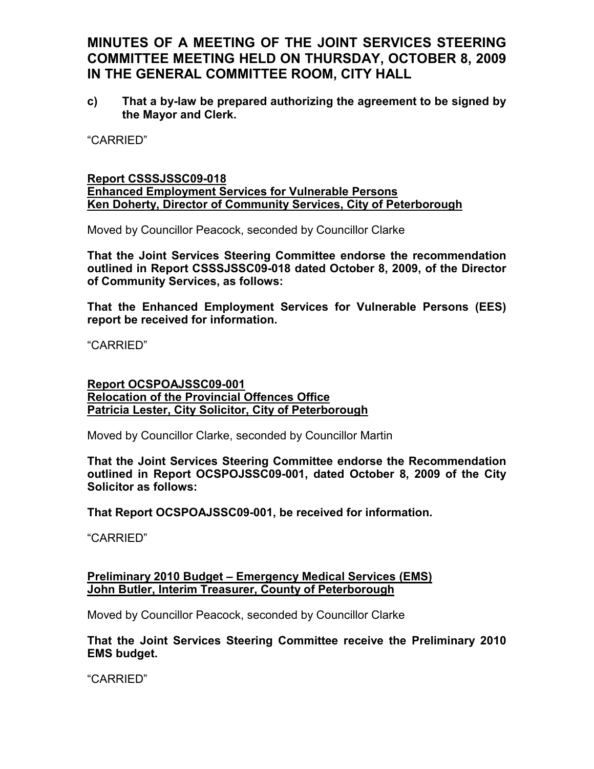c) That a by-law be prepared authorizing the agreement to be signed by the Mayor and Clerk.

"CARRIED"

#### Report CSSSJSSC09-018 Enhanced Employment Services for Vulnerable Persons Ken Doherty, Director of Community Services, City of Peterborough

Moved by Councillor Peacock, seconded by Councillor Clarke

That the Joint Services Steering Committee endorse the recommendation outlined in Report CSSSJSSC09-018 dated October 8, 2009, of the Director of Community Services, as follows:

That the Enhanced Employment Services for Vulnerable Persons (EES) report be received for information.

"CARRIED"

### Report OCSPOAJSSC09-001 Relocation of the Provincial Offences Office Patricia Lester, City Solicitor, City of Peterborough

Moved by Councillor Clarke, seconded by Councillor Martin

That the Joint Services Steering Committee endorse the Recommendation outlined in Report OCSPOJSSC09-001, dated October 8, 2009 of the City Solicitor as follows:

That Report OCSPOAJSSC09-001, be received for information.

"CARRIED"

### Preliminary 2010 Budget – Emergency Medical Services (EMS) John Butler, Interim Treasurer, County of Peterborough

Moved by Councillor Peacock, seconded by Councillor Clarke

### That the Joint Services Steering Committee receive the Preliminary 2010 EMS budget.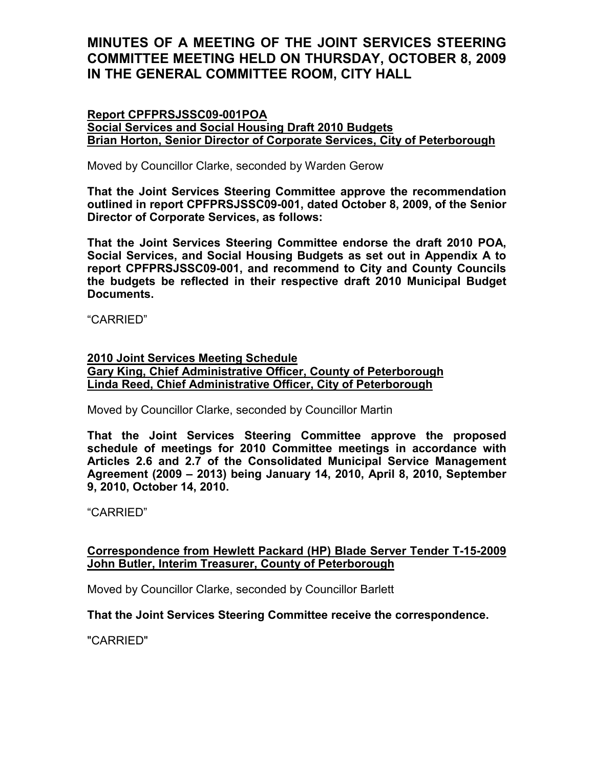### Report CPFPRSJSSC09-001POA

Social Services and Social Housing Draft 2010 Budgets Brian Horton, Senior Director of Corporate Services, City of Peterborough

Moved by Councillor Clarke, seconded by Warden Gerow

That the Joint Services Steering Committee approve the recommendation outlined in report CPFPRSJSSC09-001, dated October 8, 2009, of the Senior Director of Corporate Services, as follows:

That the Joint Services Steering Committee endorse the draft 2010 POA, Social Services, and Social Housing Budgets as set out in Appendix A to report CPFPRSJSSC09-001, and recommend to City and County Councils the budgets be reflected in their respective draft 2010 Municipal Budget Documents.

"CARRIED"

#### 2010 Joint Services Meeting Schedule Gary King, Chief Administrative Officer, County of Peterborough Linda Reed, Chief Administrative Officer, City of Peterborough

Moved by Councillor Clarke, seconded by Councillor Martin

That the Joint Services Steering Committee approve the proposed schedule of meetings for 2010 Committee meetings in accordance with Articles 2.6 and 2.7 of the Consolidated Municipal Service Management Agreement (2009 – 2013) being January 14, 2010, April 8, 2010, September 9, 2010, October 14, 2010.

"CARRIED"

## Correspondence from Hewlett Packard (HP) Blade Server Tender T-15-2009 John Butler, Interim Treasurer, County of Peterborough

Moved by Councillor Clarke, seconded by Councillor Barlett

## That the Joint Services Steering Committee receive the correspondence.